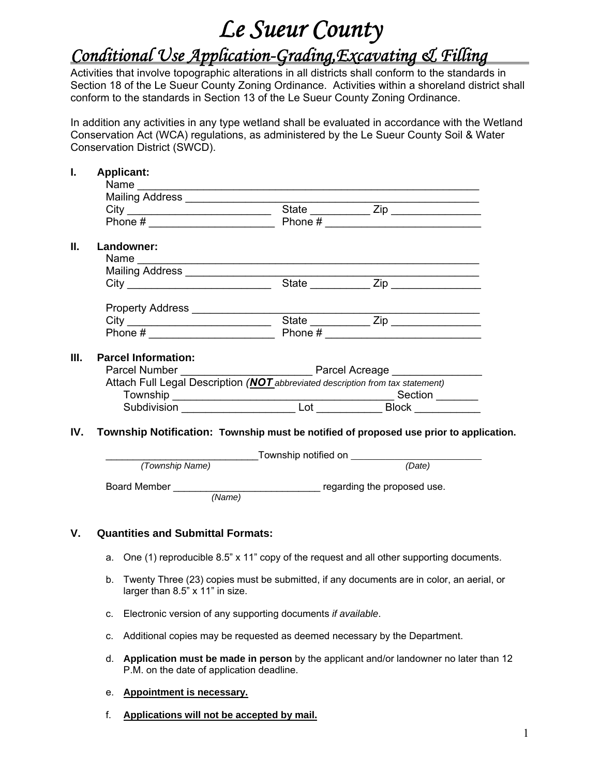# *Le Sueur County*

## *Conditional Use Application-Grading,Excavating & Filling*

Activities that involve topographic alterations in all districts shall conform to the standards in Section 18 of the Le Sueur County Zoning Ordinance. Activities within a shoreland district shall conform to the standards in Section 13 of the Le Sueur County Zoning Ordinance.

In addition any activities in any type wetland shall be evaluated in accordance with the Wetland Conservation Act (WCA) regulations, as administered by the Le Sueur County Soil & Water Conservation District (SWCD).

|      | <b>Applicant:</b>                                                                                             |  |           |  |  |
|------|---------------------------------------------------------------------------------------------------------------|--|-----------|--|--|
|      | Name                                                                                                          |  |           |  |  |
|      | Mailing Address [[19] Mailing Address [19] Mailing Address [19] Mailing Address [19] Mail Mail Mail Mail Mail |  |           |  |  |
|      |                                                                                                               |  |           |  |  |
|      |                                                                                                               |  |           |  |  |
| II.  | Landowner:                                                                                                    |  |           |  |  |
|      |                                                                                                               |  |           |  |  |
|      |                                                                                                               |  |           |  |  |
|      |                                                                                                               |  | State Zip |  |  |
|      | Property Address ___________________                                                                          |  |           |  |  |
|      |                                                                                                               |  |           |  |  |
|      |                                                                                                               |  |           |  |  |
| III. | <b>Parcel Information:</b>                                                                                    |  |           |  |  |
|      |                                                                                                               |  |           |  |  |
|      | Attach Full Legal Description (NOT abbreviated description from tax statement)                                |  |           |  |  |
|      |                                                                                                               |  |           |  |  |
|      |                                                                                                               |  |           |  |  |
| IV.  |                                                                                                               |  |           |  |  |
|      | Township Notification: Township must be notified of proposed use prior to application.                        |  |           |  |  |
|      |                                                                                                               |  |           |  |  |
|      |                                                                                                               |  |           |  |  |
|      |                                                                                                               |  |           |  |  |
|      |                                                                                                               |  |           |  |  |

#### **V. Quantities and Submittal Formats:**

- a. One (1) reproducible 8.5" x 11" copy of the request and all other supporting documents.
- b. Twenty Three (23) copies must be submitted, if any documents are in color, an aerial, or larger than 8.5" x 11" in size.
- c. Electronic version of any supporting documents *if available*.
- c. Additional copies may be requested as deemed necessary by the Department.
- d. **Application must be made in person** by the applicant and/or landowner no later than 12 P.M. on the date of application deadline.
- e. **Appointment is necessary.**
- f. **Applications will not be accepted by mail.**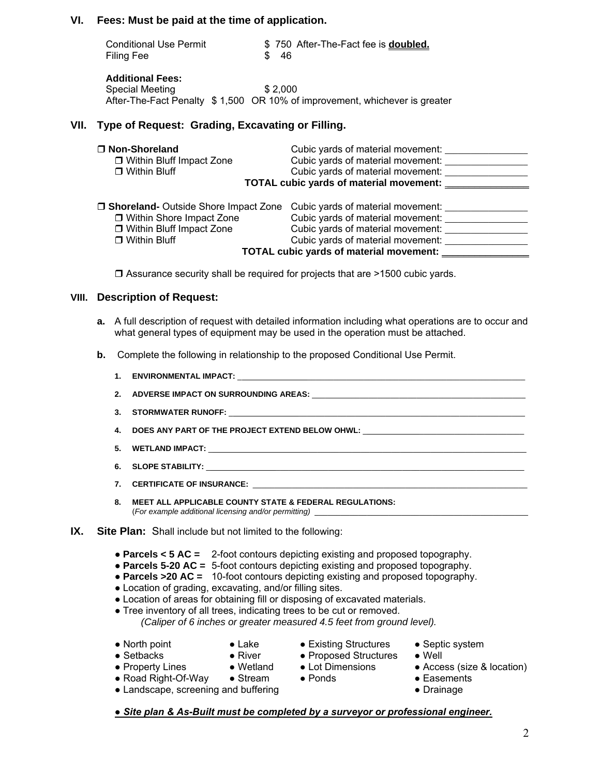#### **VI. Fees: Must be paid at the time of application.**

| <b>Conditional Use Permit</b> | \$750 After-The-Fact fee is <b>doubled.</b> |
|-------------------------------|---------------------------------------------|
| Filing Fee                    | \$46                                        |

**Additional Fees:**  Special Meeting \$ 2,000 After-The-Fact Penalty \$ 1,500 OR 10% of improvement, whichever is greater

#### **VII. Type of Request: Grading, Excavating or Filling.**

| □ Non-Shoreland                               | Cubic yards of material movement:            |  |  |  |
|-----------------------------------------------|----------------------------------------------|--|--|--|
| □ Within Bluff Impact Zone                    | Cubic yards of material movement:            |  |  |  |
| $\Box$ Within Bluff                           | Cubic yards of material movement:            |  |  |  |
|                                               | TOTAL cubic yards of material movement: ____ |  |  |  |
| <b>J Shoreland-</b> Outside Shore Impact Zone | Cubic yards of material movement:            |  |  |  |
| □ Within Shore Impact Zone                    | Cubic yards of material movement:            |  |  |  |
| □ Within Bluff Impact Zone                    | Cubic yards of material movement:            |  |  |  |
| $\Box$ Within Bluff                           | Cubic yards of material movement:            |  |  |  |
| TOTAL cubic yards of material movement: _     |                                              |  |  |  |

□ Assurance security shall be required for projects that are >1500 cubic yards.

#### **VIII. Description of Request:**

- **a.** A full description of request with detailed information including what operations are to occur and what general types of equipment may be used in the operation must be attached.
- **b.** Complete the following in relationship to the proposed Conditional Use Permit.
	- **1. ENVIRONMENTAL IMPACT:** \_ \_\_\_\_\_\_\_\_\_\_\_\_\_\_\_\_\_\_\_\_\_\_\_\_\_\_\_\_\_\_\_\_\_\_\_\_\_\_\_\_\_\_\_\_\_\_\_\_\_\_ **2. ADVERSE IMPACT ON SURROUNDING AREAS:** \_\_\_\_\_\_\_\_\_\_\_\_\_\_\_\_\_\_\_\_\_\_\_\_\_\_\_\_\_\_\_\_\_\_\_\_\_\_\_\_\_\_\_\_\_\_\_\_\_
	- 3. STORMWATER RUNOFF:
	- **4. DOES ANY PART OF THE PROJECT EXTEND BELOW OHWL: \_\_\_\_\_\_\_\_\_\_\_\_\_\_\_\_\_\_\_\_\_\_\_\_\_\_\_\_**
	- **5. WETLAND IMPACT:** \_ \_\_\_\_\_\_\_\_\_\_\_\_\_\_\_\_\_\_\_\_\_\_\_\_\_\_\_\_\_\_\_\_\_\_\_\_\_\_\_\_\_\_\_\_\_\_\_\_\_\_\_\_\_\_\_\_\_
	- **6. SLOPE STABILITY:**  $\blacksquare$
	- 7. CERTIFICATE OF INSURANCE:
	- **8. MEET ALL APPLICABLE COUNTY STATE & FEDERAL REGULATIONS:**  (*For example additional licensing and/or permitting)*\_\_\_\_\_\_\_\_\_\_\_\_\_\_\_\_\_\_\_\_\_\_\_\_\_\_\_\_\_\_\_\_\_\_\_\_\_\_\_\_\_\_\_\_\_\_\_\_\_
- **IX. Site Plan:** Shall include but not limited to the following:
	- **Parcels < 5 AC =** 2-foot contours depicting existing and proposed topography.
	- **Parcels 5-20 AC =** 5-foot contours depicting existing and proposed topography.
	- **Parcels >20 AC =** 10-foot contours depicting existing and proposed topography.
	- Location of grading, excavating, and/or filling sites.
	- Location of areas for obtaining fill or disposing of excavated materials.
	- Tree inventory of all trees, indicating trees to be cut or removed. *(Caliper of 6 inches or greater measured 4.5 feet from ground level).*
	-
- 
- North point Lake Existing Structures Septic system<br>● Setbacks River Proposed Structures Well
- 
- Road Right-Of-Way Stream Ponds Easements
- Landscape, screening and buffering entitled and the Drainage business of the Drainage
- Setbacks River Proposed Structures Well
- 
- Property Lines Wetland Lot Dimensions Access (size & location)
	-
	-
- *● Site plan & As-Built must be completed by a surveyor or professional engineer.*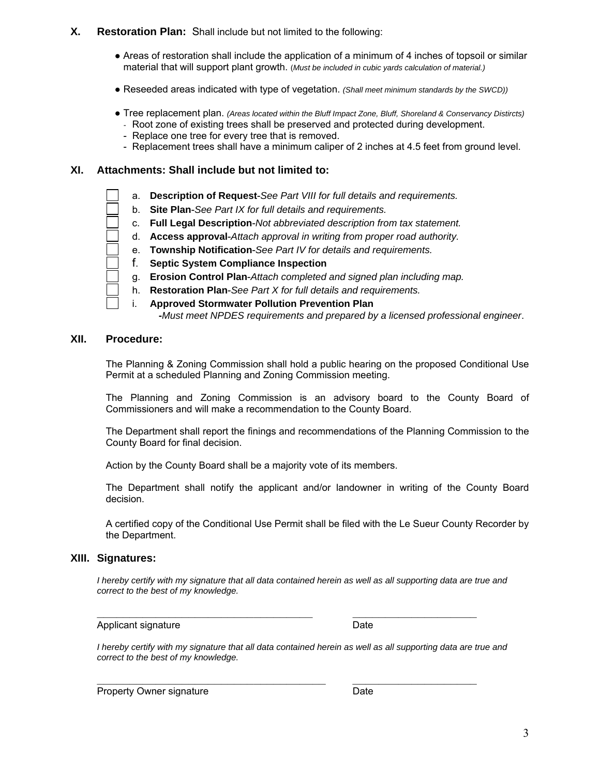#### **X. Restoration Plan:** Shall include but not limited to the following:

- Areas of restoration shall include the application of a minimum of 4 inches of topsoil or similar material that will support plant growth. (*Must be included in cubic yards calculation of material.)*
- Reseeded areas indicated with type of vegetation. *(Shall meet minimum standards by the SWCD))*
- Tree replacement plan. *(Areas located within the Bluff Impact Zone, Bluff, Shoreland & Conservancy Distircts) -* Root zone of existing trees shall be preserved and protected during development.
- Replace one tree for every tree that is removed.
- Replacement trees shall have a minimum caliper of 2 inches at 4.5 feet from ground level.

#### **XI. Attachments: Shall include but not limited to:**

- a. **Description of Request**-*See Part VIII for full details and requirements.*
	- b. **Site Plan**-*See Part IX for full details and requirements.*
- c. **Full Legal Description**-*Not abbreviated description from tax statement.*
- d. **Access approval**-*Attach approval in writing from proper road authority.*
- e. **Township Notification**-*See Part IV for details and requirements.*
- f. **Septic System Compliance Inspection**
- g. **Erosion Control Plan**-*Attach completed and signed plan including map.*
- h. **Restoration Plan**-*See Part X for full details and requirements.*
- i. **Approved Stormwater Pollution Prevention Plan -***Must meet NPDES requirements and prepared by a licensed professional engineer*.

#### **XII. Procedure:**

The Planning & Zoning Commission shall hold a public hearing on the proposed Conditional Use Permit at a scheduled Planning and Zoning Commission meeting.

 The Planning and Zoning Commission is an advisory board to the County Board of Commissioners and will make a recommendation to the County Board.

 The Department shall report the finings and recommendations of the Planning Commission to the County Board for final decision.

Action by the County Board shall be a majority vote of its members.

 The Department shall notify the applicant and/or landowner in writing of the County Board decision.

 A certified copy of the Conditional Use Permit shall be filed with the Le Sueur County Recorder by the Department.

#### **XIII. Signatures:**

*I* hereby certify with my signature that all data contained herein as well as all supporting data are true and *correct to the best of my knowledge.* 

**\_\_\_\_\_\_\_\_\_\_\_\_\_\_\_\_\_\_\_\_\_\_\_\_\_\_\_\_\_\_\_\_\_ \_\_\_\_\_\_\_\_\_\_\_\_\_\_\_\_\_\_\_** 

Applicant signature Date

*I* hereby certify with my signature that all data contained herein as well as all supporting data are true and *correct to the best of my knowledge.* 

Property Owner signature **Date**